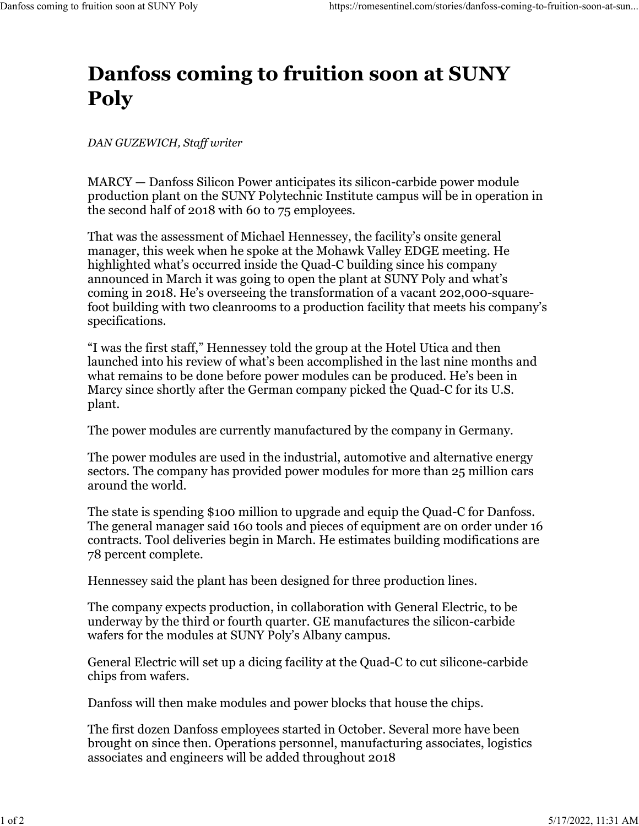## **Danfoss coming to fruition soon at SUNY Poly**

*DAN GUZEWICH, Staff writer*

MARCY — Danfoss Silicon Power anticipates its silicon-carbide power module production plant on the SUNY Polytechnic Institute campus will be in operation in the second half of 2018 with 60 to 75 employees.

That was the assessment of Michael Hennessey, the facility's onsite general manager, this week when he spoke at the Mohawk Valley EDGE meeting. He highlighted what's occurred inside the Quad-C building since his company announced in March it was going to open the plant at SUNY Poly and what's coming in 2018. He's overseeing the transformation of a vacant 202,000-squarefoot building with two cleanrooms to a production facility that meets his company's specifications.

"I was the first staff," Hennessey told the group at the Hotel Utica and then launched into his review of what's been accomplished in the last nine months and what remains to be done before power modules can be produced. He's been in Marcy since shortly after the German company picked the Quad-C for its U.S. plant.

The power modules are currently manufactured by the company in Germany.

The power modules are used in the industrial, automotive and alternative energy sectors. The company has provided power modules for more than 25 million cars around the world.

The state is spending \$100 million to upgrade and equip the Quad-C for Danfoss. The general manager said 160 tools and pieces of equipment are on order under 16 contracts. Tool deliveries begin in March. He estimates building modifications are 78 percent complete.

Hennessey said the plant has been designed for three production lines.

The company expects production, in collaboration with General Electric, to be underway by the third or fourth quarter. GE manufactures the silicon-carbide wafers for the modules at SUNY Poly's Albany campus.

General Electric will set up a dicing facility at the Quad-C to cut silicone-carbide chips from wafers.

Danfoss will then make modules and power blocks that house the chips.

The first dozen Danfoss employees started in October. Several more have been brought on since then. Operations personnel, manufacturing associates, logistics associates and engineers will be added throughout 2018